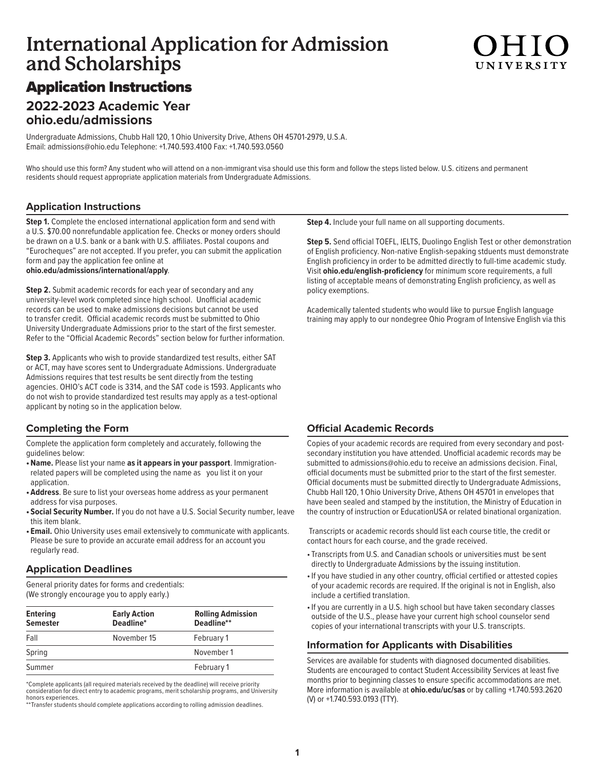## **International Application for Admission and Scholarships**

# UNIVERSIT

### Application Instructions

### **2022-2023 Academic Year ohio.edu/admissions**

Undergraduate Admissions, Chubb Hall 120, 1 Ohio University Drive, Athens OH 45701-2979, U.S.A. Email: [admissions@ohio.edu](mailto:admissions@ohio.edu) Telephone: +1.740.593.4100 Fax: +1.740.593.0560

Who should use this form? Any student who will attend on a non-immigrant visa should use this form and follow the steps listed below. U.S. citizens and permanent residents should request appropriate application materials from Undergraduate Admissions.

### **Application Instructions**

**Step 1.** Complete the enclosed international application form and send with a U.S. \$70.00 nonrefundable application fee. Checks or money orders should be drawn on a U.S. bank or a bank with U.S. affiliates. Postal coupons and "Eurocheques" are not accepted. If you prefer, you can submit the application form and pay the application fee online at **[ohio.edu/admissions/international/apply](http://ohio.edu/admissions/international/apply)**.

**Step 2.** Submit academic records for each year of secondary and any university-level work completed since high school. Unofficial academic records can be used to make admissions decisions but cannot be used to transfer credit. Official academic records must be submitted to Ohio University Undergraduate Admissions prior to the start of the first semester. Refer to the "Official Academic Records" section below for further information.

**Step 3.** Applicants who wish to provide standardized test results, either SAT or ACT, may have scores sent to Undergraduate Admissions. Undergraduate Admissions requires that test results be sent directly from the testing agencies. OHIO's ACT code is 3314, and the SAT code is 1593. Applicants who do not wish to provide standardized test results may apply as a test-optional applicant by noting so in the application below.

### **Completing the Form**

Complete the application form completely and accurately, following the guidelines below:

- **•Name.** Please list your name **as it appears in your passport**. Immigrationrelated papers will be completed using the name as you list it on your application.
- **• Address**. Be sure to list your overseas home address as your permanent address for visa purposes.
- **• Social Security Number.** If you do not have a U.S. Social Security number, leave this item blank.
- **• Email.** Ohio University uses email extensively to communicate with applicants. Please be sure to provide an accurate email address for an account you regularly read.

#### **Application Deadlines**

General priority dates for forms and credentials: (We strongly encourage you to apply early.)

| <b>Entering</b><br><b>Semester</b> | <b>Early Action</b><br>Deadline* | <b>Rolling Admission</b><br>Deadline** |
|------------------------------------|----------------------------------|----------------------------------------|
| Fall                               | November 15                      | February 1                             |
| Spring                             |                                  | November 1                             |
| Summer                             |                                  | February 1                             |

\*Complete applicants (all required materials received by the deadline) will receive priority consideration for direct entry to academic programs, merit scholarship programs, and University honors experiences.

\*\*Transfer students should complete applications according to rolling admission deadlines.

**Step 4.** Include your full name on all supporting documents.

**Step 5.** Send official TOEFL, IELTS, Duolingo English Test or other demonstration of English proficiency. Non-native English-sepaking stduents must demonstrate English proficiency in order to be admitted directly to full-time academic study. Visit **[ohio.edu/english-proficiency](http://ohio.edu/english-proficiency)** for minimum score requirements, a full listing of acceptable means of demonstrating English proficiency, as well as policy exemptions.

Academically talented students who would like to pursue English language training may apply to our nondegree Ohio Program of Intensive English via this

### **Official Academic Records**

Copies of your academic records are required from every secondary and postsecondary institution you have attended. Unofficial academic records may be submitted to admissions@ohio.edu to receive an admissions decision. Final, official documents must be submitted prior to the start of the first semester. Official documents must be submitted directly to Undergraduate Admissions, Chubb Hall 120, 1 Ohio University Drive, Athens OH 45701 in envelopes that have been sealed and stamped by the institution, the Ministry of Education in the country of instruction or EducationUSA or related binational organization.

 Transcripts or academic records should list each course title, the credit or contact hours for each course, and the grade received.

- Transcripts from U.S. and Canadian schools or universities must be sent directly to Undergraduate Admissions by the issuing institution.
- •If you have studied in any other country, official certified or attested copies of your academic records are required. If the original is not in English, also include a certified translation.
- •If you are currently in a U.S. high school but have taken secondary classes outside of the U.S., please have your current high school counselor send copies of your international transcripts with your U.S. transcripts.

### **Information for Applicants with Disabilities**

Services are available for students with diagnosed documented disabilities. Students are encouraged to contact Student Accessibility Services at least five months prior to beginning classes to ensure specific accommodations are met. More information is available at **ohio.edu/uc/sas** or by calling +1.740.593.2620 (V) or +1.740.593.0193 (TTY).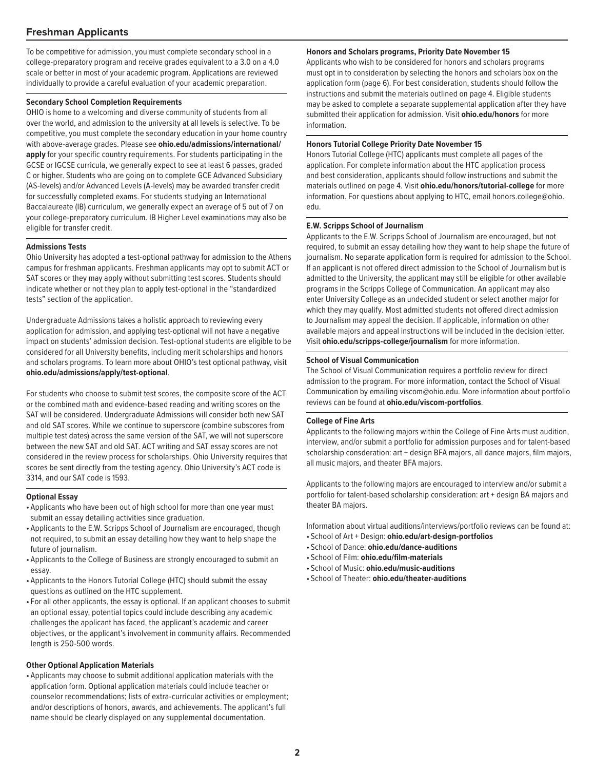#### **Freshman Applicants**

To be competitive for admission, you must complete secondary school in a college-preparatory program and receive grades equivalent to a 3.0 on a 4.0 scale or better in most of your academic program. Applications are reviewed individually to provide a careful evaluation of your academic preparation.

#### **Secondary School Completion Requirements**

OHIO is home to a welcoming and diverse community of students from all over the world, and admission to the university at all levels is selective. To be competitive, you must complete the secondary education in your home country with above-average grades. Please see **ohio.edu/admissions/international/ apply** for your specific country requirements. For students participating in the GCSE or IGCSE curricula, we generally expect to see at least 6 passes, graded C or higher. Students who are going on to complete GCE Advanced Subsidiary (AS-levels) and/or Advanced Levels (A-levels) may be awarded transfer credit for successfully completed exams. For students studying an International Baccalaureate (IB) curriculum, we generally expect an average of 5 out of 7 on your college-preparatory curriculum. IB Higher Level examinations may also be eligible for transfer credit.

#### **Admissions Tests**

Ohio University has adopted a test-optional pathway for admission to the Athens campus for freshman applicants. Freshman applicants may opt to submit ACT or SAT scores or they may apply without submitting test scores. Students should indicate whether or not they plan to apply test-optional in the "standardized tests" section of the application.

Undergraduate Admissions takes a holistic approach to reviewing every application for admission, and applying test-optional will not have a negative impact on students' admission decision. Test-optional students are eligible to be considered for all University benefits, including merit scholarships and honors and scholars programs. To learn more about OHIO's test optional pathway, visit **ohio.edu/admissions/apply/test-optional**.

For students who choose to submit test scores, the composite score of the ACT or the combined math and evidence-based reading and writing scores on the SAT will be considered. Undergraduate Admissions will consider both new SAT and old SAT scores. While we continue to superscore (combine subscores from multiple test dates) across the same version of the SAT, we will not superscore between the new SAT and old SAT. ACT writing and SAT essay scores are not considered in the review process for scholarships. Ohio University requires that scores be sent directly from the testing agency. Ohio University's ACT code is 3314, and our SAT code is 1593.

#### **Optional Essay**

- Applicants who have been out of high school for more than one year must submit an essay detailing activities since graduation.
- Applicants to the E.W. Scripps School of Journalism are encouraged, though not required, to submit an essay detailing how they want to help shape the future of journalism.
- Applicants to the College of Business are strongly encouraged to submit an essay.
- Applicants to the Honors Tutorial College (HTC) should submit the essay questions as outlined on the HTC supplement.
- For all other applicants, the essay is optional. If an applicant chooses to submit an optional essay, potential topics could include describing any academic challenges the applicant has faced, the applicant's academic and career objectives, or the applicant's involvement in community affairs. Recommended length is 250-500 words.

#### **Other Optional Application Materials**

• Applicants may choose to submit additional application materials with the application form. Optional application materials could include teacher or counselor recommendations; lists of extra-curricular activities or employment; and/or descriptions of honors, awards, and achievements. The applicant's full name should be clearly displayed on any supplemental documentation.

#### **Honors and Scholars programs, Priority Date November 15**

Applicants who wish to be considered for honors and scholars programs must opt in to consideration by selecting the honors and scholars box on the application form (page 6). For best consideration, students should follow the instructions and submit the materials outlined on page 4. Eligible students may be asked to complete a separate supplemental application after they have submitted their application for admission. Visit **[ohio.edu/honors](http://ohio.edu/honors)** for more information.

#### **Honors Tutorial College Priority Date November 15**

Honors Tutorial College (HTC) applicants must complete all pages of the application. For complete information about the HTC application process and best consideration, applicants should follow instructions and submit the materials outlined on page 4. Visit **[ohio.edu/honors/tutorial-college](http://ohio.edu/honors/tutorial-college)** for more [information. For questions about applying to HTC, email honors.college@ohio.](mailto:honors.college@ohio.edu) edu.

#### **E.W. Scripps School of Journalism**

Applicants to the E.W. Scripps School of Journalism are encouraged, but not required, to submit an essay detailing how they want to help shape the future of journalism. No separate application form is required for admission to the School. If an applicant is not offered direct admission to the School of Journalism but is admitted to the University, the applicant may still be eligible for other available programs in the Scripps College of Communication. An applicant may also enter University College as an undecided student or select another major for which they may qualify. Most admitted students not offered direct admission to Journalism may appeal the decision. If applicable, information on other available majors and appeal instructions will be included in the decision letter. Visit **[ohio.edu/scripps-college/journalism](http://ohio.edu/scripps-college/journalism)** for more information.

#### **School of Visual Communication**

The School of Visual Communication requires a portfolio review for direct admission to the program. For more information, contact the School of Visual Communication by emailing viscom@ohio.edu. More information about portfolio reviews can be found at **[ohio.edu/viscom-portfolios](http://ohio.edu/viscom-portfolios)**.

#### **College of Fine Arts**

Applicants to the following majors within the College of Fine Arts must audition, interview, and/or submit a portfolio for admission purposes and for talent-based scholarship consderation: art + design BFA majors, all dance majors, film majors, all music majors, and theater BFA majors.

Applicants to the following majors are encouraged to interview and/or submit a portfolio for talent-based scholarship consideration: art + design BA majors and theater BA majors.

Information about virtual auditions/interviews/portfolio reviews can be found at:

- School of Art + Design: **ohio.edu/art-design-portfolios**
- School of Dance: **ohio.edu/dance-auditions**
- School of Film: **ohio.edu/film-materials**
- School of Music: **ohio.edu/music-auditions**
- School of Theater: **ohio.edu/theater-auditions**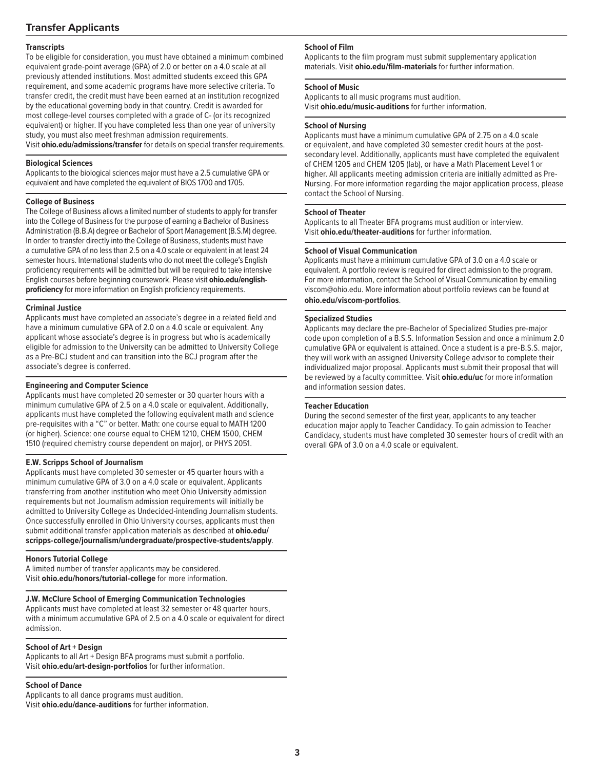#### **Transfer Applicants**

#### **Transcripts**

To be eligible for consideration, you must have obtained a minimum combined equivalent grade-point average (GPA) of 2.0 or better on a 4.0 scale at all previously attended institutions. Most admitted students exceed this GPA requirement, and some academic programs have more selective criteria. To transfer credit, the credit must have been earned at an institution recognized by the educational governing body in that country. Credit is awarded for most college-level courses completed with a grade of C- (or its recognized equivalent) or higher. If you have completed less than one year of university study, you must also meet freshman admission requirements. Visit **ohio.edu/admissions/transfer** for details on special transfer requirements.

#### **Biological Sciences**

Applicants to the biological sciences major must have a 2.5 cumulative GPA or equivalent and have completed the equivalent of BIOS 1700 and 1705.

#### **College of Business**

The College of Business allows a limited number of students to apply for transfer into the College of Business for the purpose of earning a Bachelor of Business Administration (B.B.A) degree or Bachelor of Sport Management (B.S.M) degree. In order to transfer directly into the College of Business, students must have a cumulative GPA of no less than 2.5 on a 4.0 scale or equivalent in at least 24 semester hours. International students who do not meet the college's English proficiency requirements will be admitted but will be required to take intensive English courses before beginning coursework. Please visit **ohio.edu/englishproficiency** for more information on English proficiency requirements.

#### **Criminal Justice**

Applicants must have completed an associate's degree in a related field and have a minimum cumulative GPA of 2.0 on a 4.0 scale or equivalent. Any applicant whose associate's degree is in progress but who is academically eligible for admission to the University can be admitted to University College as a Pre-BCJ student and can transition into the BCJ program after the associate's degree is conferred.

#### **Engineering and Computer Science**

Applicants must have completed 20 semester or 30 quarter hours with a minimum cumulative GPA of 2.5 on a 4.0 scale or equivalent. Additionally, applicants must have completed the following equivalent math and science pre-requisites with a "C" or better. Math: one course equal to MATH 1200 (or higher). Science: one course equal to CHEM 1210, CHEM 1500, CHEM 1510 (required chemistry course dependent on major), or PHYS 2051.

#### **E.W. Scripps School of Journalism**

Applicants must have completed 30 semester or 45 quarter hours with a minimum cumulative GPA of 3.0 on a 4.0 scale or equivalent. Applicants transferring from another institution who meet Ohio University admission requirements but not Journalism admission requirements will initially be admitted to University College as Undecided-intending Journalism students. Once successfully enrolled in Ohio University courses, applicants must then submit additional transfer application materials as described at **ohio.edu/ scripps-college/journalism/undergraduate/prospective-students/apply**.

#### **Honors Tutorial College**

A limited number of transfer applicants may be considered. Visit **ohio.edu/honors/tutorial-college** for more information.

#### **J.W. McClure School of Emerging Communication Technologies**

Applicants must have completed at least 32 semester or 48 quarter hours, with a minimum accumulative GPA of 2.5 on a 4.0 scale or equivalent for direct admission.

#### **School of Art + Design**

Applicants to all Art + Design BFA programs must submit a portfolio. Visit **[ohio.edu/art-design-portfolios](http://ohio.edu/art-design-portfolios)** for further information.

#### **School of Dance**

Applicants to all dance programs must audition. Visit **[ohio.edu/dance-auditions](http://ohio.edu/dance-auditions)** for further information.

#### **School of Film**

Applicants to the film program must submit supplementary application materials. Visit **[ohio.edu/film-materials](http://ohio.edu/film-materials)** for further information.

#### **School of Music**

Applicants to all music programs must audition. Visit **[ohio.edu/music-auditions](http://ohio.edu/music-auditions)** for further information.

#### **School of Nursing**

Applicants must have a minimum cumulative GPA of 2.75 on a 4.0 scale or equivalent, and have completed 30 semester credit hours at the postsecondary level. Additionally, applicants must have completed the equivalent of CHEM 1205 and CHEM 1205 (lab), or have a Math Placement Level 1 or higher. All applicants meeting admission criteria are initially admitted as Pre-Nursing. For more information regarding the major application process, please contact the School of Nursing.

#### **School of Theater**

Applicants to all Theater BFA programs must audition or interview. Visit **[ohio.edu/theater-auditions](http://ohio.edu/theater-auditions)** for further information.

#### **School of Visual Communication**

Applicants must have a minimum cumulative GPA of 3.0 on a 4.0 scale or equivalent. A portfolio review is required for direct admission to the program. For more information, contact the School of Visual Communication by emailing [viscom@ohio.edu.](mailto:viscom@ohio.edu) More information about portfolio reviews can be found at **[ohio.edu/viscom-portfolios](http://ohio.edu/viscom-portfolios)**.

#### **Specialized Studies**

Applicants may declare the pre-Bachelor of Specialized Studies pre-major code upon completion of a B.S.S. Information Session and once a minimum 2.0 cumulative GPA or equivalent is attained. Once a student is a pre-B.S.S. major, they will work with an assigned University College advisor to complete their individualized major proposal. Applicants must submit their proposal that will be reviewed by a faculty committee. Visit **[ohio.edu/uc](http://ohio.edu/uc)** for more information and information session dates.

#### **Teacher Education**

During the second semester of the first year, applicants to any teacher education major apply to Teacher Candidacy. To gain admission to Teacher Candidacy, students must have completed 30 semester hours of credit with an overall GPA of 3.0 on a 4.0 scale or equivalent.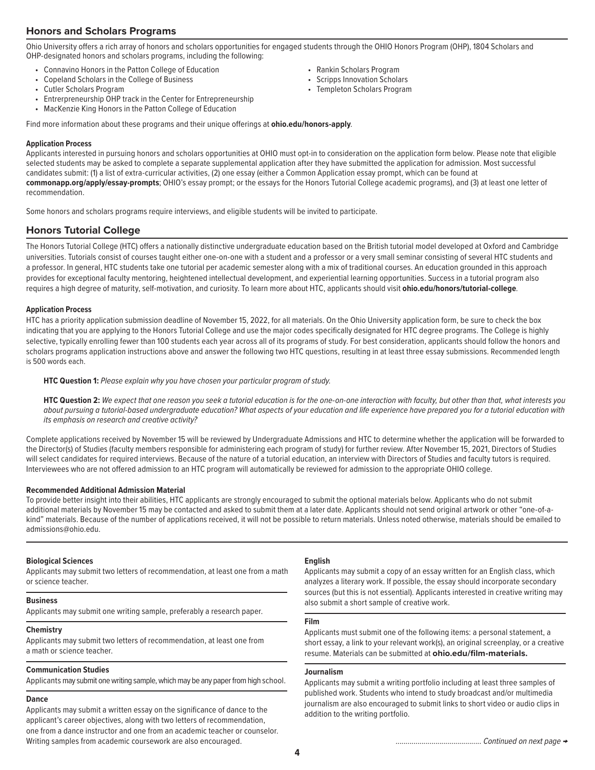#### **Honors and Scholars Programs**

Ohio University offers a rich array of honors and scholars opportunities for engaged students through the OHIO Honors Program (OHP), 1804 Scholars and OHP-designated honors and scholars programs, including the following:

- Connavino Honors in the Patton College of Education
- Copeland Scholars in the College of Business
- Cutler Scholars Program
- Entrerpreneurship OHP track in the Center for Entrepreneurship
- 
- Rankin Scholars Program
- Scripps Innovation Scholars
- Templeton Scholars Program
- MacKenzie King Honors in the Patton College of Education

Find more information about these programs and their unique offerings at **[ohio.edu/honors-apply](http://ohio.edu/honors-apply)**.

#### **Application Process**

Applicants interested in pursuing honors and scholars opportunities at OHIO must opt-in to consideration on the application form below. Please note that eligible selected students may be asked to complete a separate supplemental application after they have submitted the application for admission. Most successful candidates submit: (1) a list of extra-curricular activities, (2) one essay (either a Common Application essay prompt, which can be found at **[commonapp.org/apply/essay-prompts](http://commonapp.org/apply/essay-prompts)**; OHIO's essay prompt; or the essays for the Honors Tutorial College academic programs), and (3) at least one letter of recommendation.

Some honors and scholars programs require interviews, and eligible students will be invited to participate.

#### **Honors Tutorial College**

The Honors Tutorial College (HTC) offers a nationally distinctive undergraduate education based on the British tutorial model developed at Oxford and Cambridge universities. Tutorials consist of courses taught either one-on-one with a student and a professor or a very small seminar consisting of several HTC students and a professor. In general, HTC students take one tutorial per academic semester along with a mix of traditional courses. An education grounded in this approach provides for exceptional faculty mentoring, heightened intellectual development, and experiential learning opportunities. Success in a tutorial program also requires a high degree of maturity, self-motivation, and curiosity. To learn more about HTC, applicants should visit **[ohio.edu/honors/tutorial-college](http://ohio.edu/honors/tutorial-college)**.

#### **Application Process**

HTC has a priority application submission deadline of November 15, 2022, for all materials. On the Ohio University application form, be sure to check the box indicating that you are applying to the Honors Tutorial College and use the major codes specifically designated for HTC degree programs. The College is highly selective, typically enrolling fewer than 100 students each year across all of its programs of study. For best consideration, applicants should follow the honors and scholars programs application instructions above and answer the following two HTC questions, resulting in at least three essay submissions. Recommended length is 500 words each.

#### **HTC Question 1:** *Please explain why you have chosen your particular program of study.*

 **HTC Question 2:** *We expect that one reason you seek a tutorial education is for the one-on-one interaction with faculty, but other than that, what interests you about pursuing a tutorial-based undergraduate education? What aspects of your education and life experience have prepared you for a tutorial education with its emphasis on research and creative activity?*

Complete applications received by November 15 will be reviewed by Undergraduate Admissions and HTC to determine whether the application will be forwarded to the Director(s) of Studies (faculty members responsible for administering each program of study) for further review. After November 15, 2021, Directors of Studies will select candidates for required interviews. Because of the nature of a tutorial education, an interview with Directors of Studies and faculty tutors is required. Interviewees who are not offered admission to an HTC program will automatically be reviewed for admission to the appropriate OHIO college.

#### **Recommended Additional Admission Material**

To provide better insight into their abilities, HTC applicants are strongly encouraged to submit the optional materials below. Applicants who do not submit additional materials by November 15 may be contacted and asked to submit them at a later date. Applicants should not send original artwork or other "one-of-akind" materials. Because of the number of applications received, it will not be possible to return materials. Unless noted otherwise, materials should be emailed to [admissions@ohio.edu](mailtto:admissions@ohio.edu).

#### **Biological Sciences**

Applicants may submit two letters of recommendation, at least one from a math or science teacher.

#### **Business**

Applicants may submit one writing sample, preferably a research paper.

#### **Chemistry**

Applicants may submit two letters of recommendation, at least one from a math or science teacher.

#### **Communication Studies**

Applicants may submit one writing sample, which may be any paper from high school.

#### **Dance**

Applicants may submit a written essay on the significance of dance to the applicant's career objectives, along with two letters of recommendation, one from a dance instructor and one from an academic teacher or counselor. Writing samples from academic coursework are also encouraged.

#### **English**

Applicants may submit a copy of an essay written for an English class, which analyzes a literary work. If possible, the essay should incorporate secondary sources (but this is not essential). Applicants interested in creative writing may also submit a short sample of creative work.

#### **Film**

Applicants must submit one of the following items: a personal statement, a short essay, a link to your relevant work(s), an original screenplay, or a creative resume. Materials can be submitted at **ohio.edu/film-materials.**

#### **Journalism**

Applicants may submit a writing portfolio including at least three samples of published work. Students who intend to study broadcast and/or multimedia journalism are also encouraged to submit links to short video or audio clips in addition to the writing portfolio.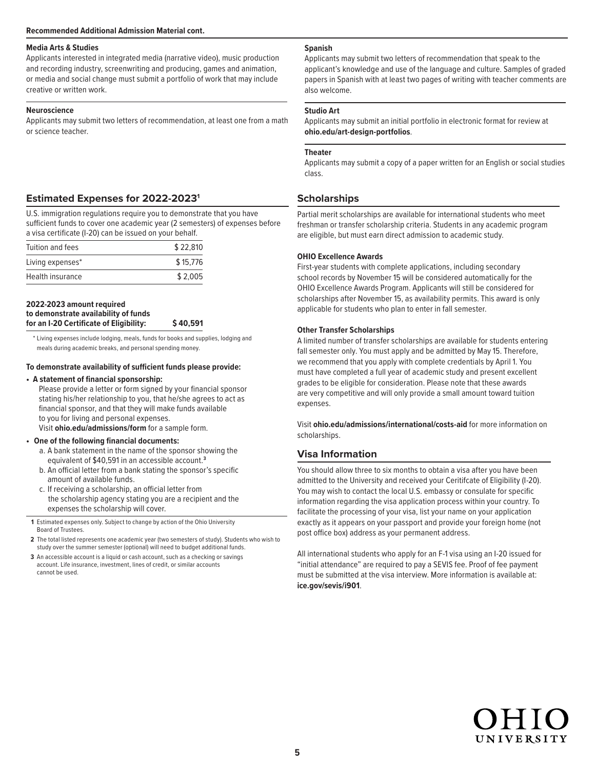#### **Media Arts & Studies**

Applicants interested in integrated media (narrative video), music production and recording industry, screenwriting and producing, games and animation, or media and social change must submit a portfolio of work that may include creative or written work.

#### **Neuroscience**

Applicants may submit two letters of recommendation, at least one from a math or science teacher.

#### **Estimated Expenses for 2022-20231**

U.S. immigration regulations require you to demonstrate that you have sufficient funds to cover one academic year (2 semesters) of expenses before a visa certificate (I-20) can be issued on your behalf.

| Tuition and fees | \$22,810 |
|------------------|----------|
| Living expenses* | \$15,776 |
| Health insurance | \$2,005  |

#### **2022-2023 amount required to demonstrate availability of funds for an I-20 Certificate of Eligibility: \$ 40,591**

\* Living expenses include lodging, meals, funds for books and supplies, lodging and meals during academic breaks, and personal spending money.

#### **To demonstrate availability of sufficient funds please provide:**

#### **• A statement of financial sponsorship:**

Please provide a letter or form signed by your financial sponsor stating his/her relationship to you, that he/she agrees to act as financial sponsor, and that they will make funds available to you for living and personal expenses. Visit **[ohio.edu/admissions/form](http://ohio.edu/admissions/form)** for a sample form.

**• One of the following financial documents:**

- a. A bank statement in the name of the sponsor showing the equivalent of \$40,591 in an accessible account.**<sup>3</sup>**
- b. An official letter from a bank stating the sponsor's specific amount of available funds.
- c. If receiving a scholarship, an official letter from the scholarship agency stating you are a recipient and the expenses the scholarship will cover.

**1** Estimated expenses only. Subject to change by action of the Ohio University Board of Trustees.

 **2** The total listed represents one academic year (two semesters of study). Students who wish to study over the summer semester (optional) will need to budget additional funds.

 **3** An accessible account is a liquid or cash account, such as a checking or savings account. Life insurance, investment, lines of credit, or similar accounts cannot be used.

#### **Spanish**

Applicants may submit two letters of recommendation that speak to the applicant's knowledge and use of the language and culture. Samples of graded papers in Spanish with at least two pages of writing with teacher comments are also welcome.

#### **Studio Art**

Applicants may submit an initial portfolio in electronic format for review at **ohio.edu/art-design-portfolios**.

#### **Theater**

Applicants may submit a copy of a paper written for an English or social studies class.

#### **Scholarships**

Partial merit scholarships are available for international students who meet freshman or transfer scholarship criteria. Students in any academic program are eligible, but must earn direct admission to academic study.

#### **OHIO Excellence Awards**

First-year students with complete applications, including secondary school records by November 15 will be considered automatically for the OHIO Excellence Awards Program. Applicants will still be considered for scholarships after November 15, as availability permits. This award is only applicable for students who plan to enter in fall semester.

#### **Other Transfer Scholarships**

A limited number of transfer scholarships are available for students entering fall semester only. You must apply and be admitted by May 15. Therefore, we recommend that you apply with complete credentials by April 1. You must have completed a full year of academic study and present excellent grades to be eligible for consideration. Please note that these awards are very competitive and will only provide a small amount toward tuition expenses.

Visit **[ohio.edu/admissions/international/costs-aid](http://ohio.edu/admissions/international/costs-aid)** for more information on scholarships.

#### **Visa Information**

You should allow three to six months to obtain a visa after you have been admitted to the University and received your Ceritifcate of Eligibility (I-20). You may wish to contact the local U.S. embassy or consulate for specific information regarding the visa application process within your country. To facilitate the processing of your visa, list your name on your application exactly as it appears on your passport and provide your foreign home (not post office box) address as your permanent address.

All international students who apply for an F-1 visa using an I-20 issued for "initial attendance" are required to pay a SEVIS fee. Proof of fee payment must be submitted at the visa interview. More information is available at: **[ice.gov/sevis/i901](hhttp://ice.gov/sevis/i901)**.

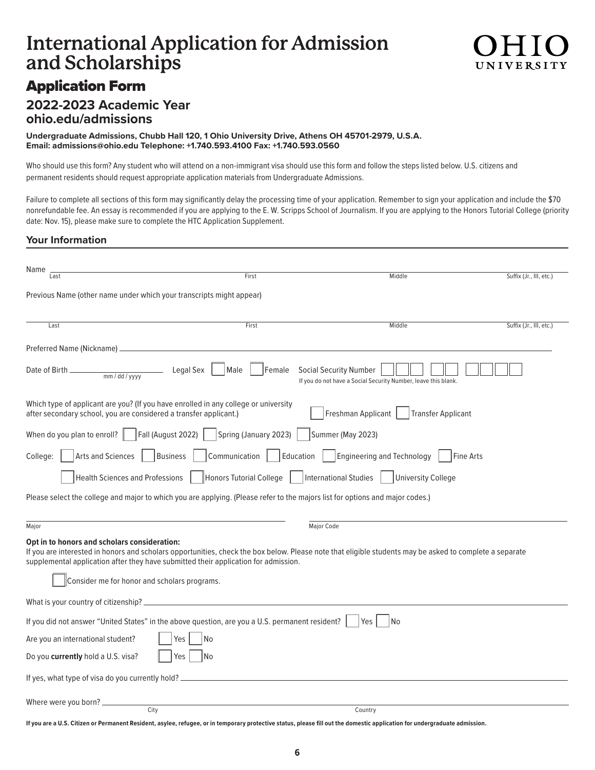### **International Application for Admission and Scholarships**

### Application Form

### **2022-2023 Academic Year [ohio.edu/admissions](http://ohio.edu/admissions)**

**Undergraduate Admissions, Chubb Hall 120, 1 Ohio University Drive, Athens OH 45701-2979, U.S.A. Email: [admissions@ohio.edu](mailto:admissions@ohio.edu) Telephone: +1.740.593.4100 Fax: +1.740.593.0560**

Who should use this form? Any student who will attend on a non-immigrant visa should use this form and follow the steps listed below. U.S. citizens and permanent residents should request appropriate application materials from Undergraduate Admissions.

Failure to complete all sections of this form may significantly delay the processing time of your application. Remember to sign your application and include the \$70 nonrefundable fee. An essay is recommended if you are applying to the E. W. Scripps School of Journalism. If you are applying to the Honors Tutorial College (priority date: Nov. 15), please make sure to complete the HTC Application Supplement.

#### **Your Information**

| Name<br>Last                                                                                                                                                                                                                                                                                   | First                      | Middle                                                                                          | Suffix (Jr., III, etc.) |
|------------------------------------------------------------------------------------------------------------------------------------------------------------------------------------------------------------------------------------------------------------------------------------------------|----------------------------|-------------------------------------------------------------------------------------------------|-------------------------|
|                                                                                                                                                                                                                                                                                                |                            |                                                                                                 |                         |
| Previous Name (other name under which your transcripts might appear)                                                                                                                                                                                                                           |                            |                                                                                                 |                         |
|                                                                                                                                                                                                                                                                                                |                            |                                                                                                 |                         |
| Last                                                                                                                                                                                                                                                                                           | First                      | Middle                                                                                          | Suffix (Jr., III, etc.) |
|                                                                                                                                                                                                                                                                                                |                            |                                                                                                 |                         |
| Legal Sex<br>Date of Birth _<br>$\frac{1}{2}$ mm / dd / yyyy                                                                                                                                                                                                                                   | Male<br>Female             | <b>Social Security Number</b><br>If you do not have a Social Security Number, leave this blank. |                         |
| Which type of applicant are you? (If you have enrolled in any college or university<br>after secondary school, you are considered a transfer applicant.)                                                                                                                                       |                            | Freshman Applicant<br><b>Transfer Applicant</b>                                                 |                         |
| Fall (August 2022)<br>When do you plan to enroll?                                                                                                                                                                                                                                              | Spring (January 2023)      | Summer (May 2023)                                                                               |                         |
| <b>Arts and Sciences</b><br><b>Business</b><br>College:                                                                                                                                                                                                                                        | Communication<br>Education | <b>Engineering and Technology</b><br>Fine Arts                                                  |                         |
| <b>Health Sciences and Professions</b>                                                                                                                                                                                                                                                         | Honors Tutorial College    | <b>International Studies</b><br><b>University College</b>                                       |                         |
| Please select the college and major to which you are applying. (Please refer to the majors list for options and major codes.)                                                                                                                                                                  |                            |                                                                                                 |                         |
|                                                                                                                                                                                                                                                                                                |                            |                                                                                                 |                         |
| Major                                                                                                                                                                                                                                                                                          |                            | Major Code                                                                                      |                         |
| Opt in to honors and scholars consideration:<br>If you are interested in honors and scholars opportunities, check the box below. Please note that eligible students may be asked to complete a separate<br>supplemental application after they have submitted their application for admission. |                            |                                                                                                 |                         |
| Consider me for honor and scholars programs.                                                                                                                                                                                                                                                   |                            |                                                                                                 |                         |
|                                                                                                                                                                                                                                                                                                |                            |                                                                                                 |                         |
| If you did not answer "United States" in the above question, are you a U.S. permanent resident?                                                                                                                                                                                                |                            | No.<br>Yes                                                                                      |                         |
| Are you an international student?<br>Yes                                                                                                                                                                                                                                                       | No                         |                                                                                                 |                         |
| Do you currently hold a U.S. visa?<br>Yes                                                                                                                                                                                                                                                      | N <sub>o</sub>             |                                                                                                 |                         |
| If yes, what type of visa do you currently hold? __                                                                                                                                                                                                                                            |                            |                                                                                                 |                         |
| Where were you born? _<br>City                                                                                                                                                                                                                                                                 |                            | Country                                                                                         |                         |
|                                                                                                                                                                                                                                                                                                |                            |                                                                                                 |                         |

**If you are a U.S. Citizen or Permanent Resident, asylee, refugee, or in temporary protective status, please fill out the domestic application for undergraduate admission.**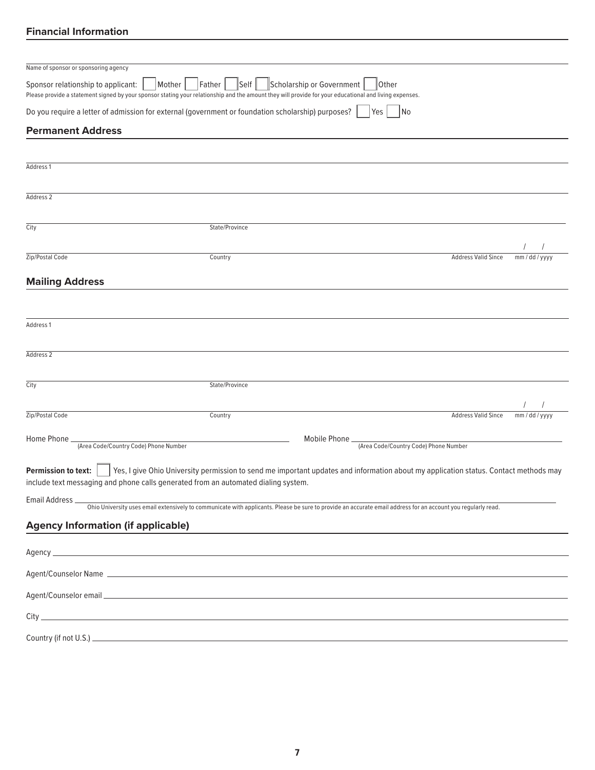#### **Financial Information**

| Name of sponsor or sponsoring agency                                                                                                                                                                   |                |                                                                                                                                                               |                |
|--------------------------------------------------------------------------------------------------------------------------------------------------------------------------------------------------------|----------------|---------------------------------------------------------------------------------------------------------------------------------------------------------------|----------------|
| Sponsor relationship to applicant:<br>Mother<br>Please provide a statement signed by your sponsor stating your relationship and the amount they will provide for your educational and living expenses. | Father<br>Self | Scholarship or Government<br>Other                                                                                                                            |                |
| Do you require a letter of admission for external (government or foundation scholarship) purposes?                                                                                                     |                | Yes<br> No                                                                                                                                                    |                |
| <b>Permanent Address</b>                                                                                                                                                                               |                |                                                                                                                                                               |                |
|                                                                                                                                                                                                        |                |                                                                                                                                                               |                |
| Address 1                                                                                                                                                                                              |                |                                                                                                                                                               |                |
| Address 2                                                                                                                                                                                              |                |                                                                                                                                                               |                |
| City                                                                                                                                                                                                   | State/Province |                                                                                                                                                               |                |
|                                                                                                                                                                                                        |                |                                                                                                                                                               |                |
| Zip/Postal Code                                                                                                                                                                                        | Country        | <b>Address Valid Since</b>                                                                                                                                    | mm / dd / yyyy |
| <b>Mailing Address</b>                                                                                                                                                                                 |                |                                                                                                                                                               |                |
|                                                                                                                                                                                                        |                |                                                                                                                                                               |                |
| Address 1                                                                                                                                                                                              |                |                                                                                                                                                               |                |
|                                                                                                                                                                                                        |                |                                                                                                                                                               |                |
| Address 2                                                                                                                                                                                              |                |                                                                                                                                                               |                |
| City                                                                                                                                                                                                   | State/Province |                                                                                                                                                               |                |
|                                                                                                                                                                                                        |                |                                                                                                                                                               |                |
| Zip/Postal Code                                                                                                                                                                                        | Country        | <b>Address Valid Since</b>                                                                                                                                    | mm / dd / yyyy |
| Home Phone                                                                                                                                                                                             |                | Mobile Phone_                                                                                                                                                 |                |
| (Area Code/Country Code) Phone Number                                                                                                                                                                  |                | (Area Code/Country Code) Phone Number                                                                                                                         |                |
| <b>Permission to text:</b><br>include text messaging and phone calls generated from an automated dialing system.                                                                                       |                | Yes, I give Ohio University permission to send me important updates and information about my application status. Contact methods may                          |                |
| Email Address __                                                                                                                                                                                       |                | Ohio University uses email extensively to communicate with applicants. Please be sure to provide an accurate email address for an account you regularly read. |                |
| <b>Agency Information (if applicable)</b>                                                                                                                                                              |                |                                                                                                                                                               |                |
|                                                                                                                                                                                                        |                |                                                                                                                                                               |                |
|                                                                                                                                                                                                        |                |                                                                                                                                                               |                |
|                                                                                                                                                                                                        |                |                                                                                                                                                               |                |
|                                                                                                                                                                                                        |                |                                                                                                                                                               |                |
|                                                                                                                                                                                                        |                |                                                                                                                                                               |                |
|                                                                                                                                                                                                        |                |                                                                                                                                                               |                |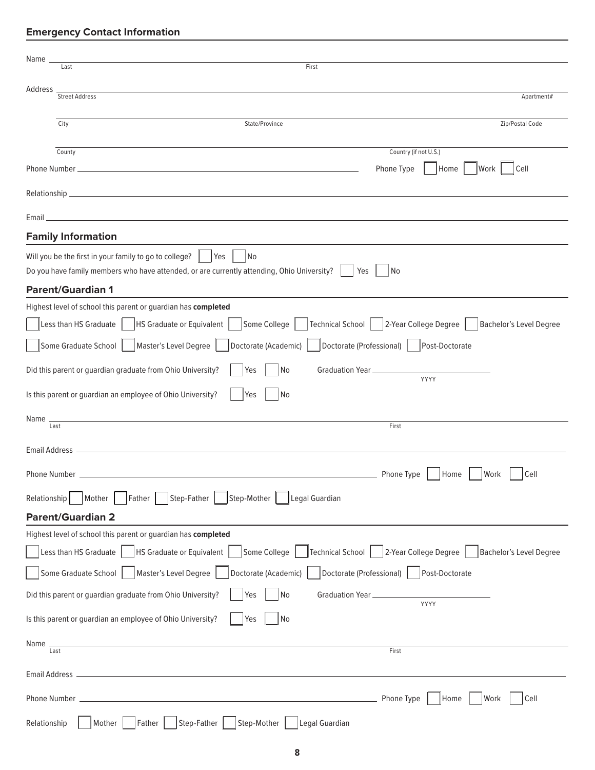### **Emergency Contact Information**

| Name.<br>First<br>Last                                                                                                                                     |  |
|------------------------------------------------------------------------------------------------------------------------------------------------------------|--|
| Address                                                                                                                                                    |  |
| <b>Street Address</b><br>Apartment#                                                                                                                        |  |
| Zip/Postal Code<br>City<br>State/Province                                                                                                                  |  |
| Country (if not U.S.)<br>County                                                                                                                            |  |
| Phone Type<br>Work<br>Cell<br>Home                                                                                                                         |  |
|                                                                                                                                                            |  |
|                                                                                                                                                            |  |
| <u> 1980 - Johann Stein, marwolaethau a bhann an t-Amhair ann an t-Amhair an t-Amhair an t-Amhair an t-Amhair an</u><br>Email<br><b>Family Information</b> |  |
| Will you be the first in your family to go to college?<br>l Yes<br>No                                                                                      |  |
| Do you have family members who have attended, or are currently attending, Ohio University?<br>Yes<br>No                                                    |  |
| <b>Parent/Guardian 1</b>                                                                                                                                   |  |
| Highest level of school this parent or guardian has completed                                                                                              |  |
| 2-Year College Degree<br>HS Graduate or Equivalent<br>Some College<br>Technical School  <br><b>Bachelor's Level Degree</b><br>Less than HS Graduate        |  |
| Master's Level Degree<br>Some Graduate School<br>Doctorate (Academic)<br>Doctorate (Professional)<br>Post-Doctorate                                        |  |
| Did this parent or guardian graduate from Ohio University?<br>Yes<br>Graduation Year __________<br>No                                                      |  |
| YYYY<br>Is this parent or guardian an employee of Ohio University?<br>No<br>Yes                                                                            |  |
| the control of the control of the control of the control of the control of the control of<br>Name<br>Last<br>First                                         |  |
|                                                                                                                                                            |  |
|                                                                                                                                                            |  |
| Work<br>Phone Number _<br>Phone Type<br>Home<br>Cell                                                                                                       |  |
| Mother<br>Step-Father<br>Step-Mother<br>Legal Guardian<br>Relationship<br>Father                                                                           |  |
| <b>Parent/Guardian 2</b>                                                                                                                                   |  |
| Highest level of school this parent or guardian has completed                                                                                              |  |
| 2-Year College Degree<br>Bachelor's Level Degree<br>Less than HS Graduate<br><b>HS Graduate or Equivalent</b><br>Some College<br>Technical School          |  |
| Doctorate (Professional)<br>Some Graduate School<br>Master's Level Degree<br>Doctorate (Academic)<br>Post-Doctorate                                        |  |
| Did this parent or guardian graduate from Ohio University?<br>Yes<br>No<br>Graduation Year_<br>YYYY                                                        |  |
| Is this parent or guardian an employee of Ohio University?<br>Yes<br>No                                                                                    |  |
| Name<br>$\overline{\text{Last}}$                                                                                                                           |  |
| First                                                                                                                                                      |  |
| Email Address _                                                                                                                                            |  |
| Phone Type<br>Home<br>Work<br>Cell<br>Phone Number                                                                                                         |  |
| Step-Mother<br>Legal Guardian<br>Relationship<br>Mother<br>Step-Father<br>Father                                                                           |  |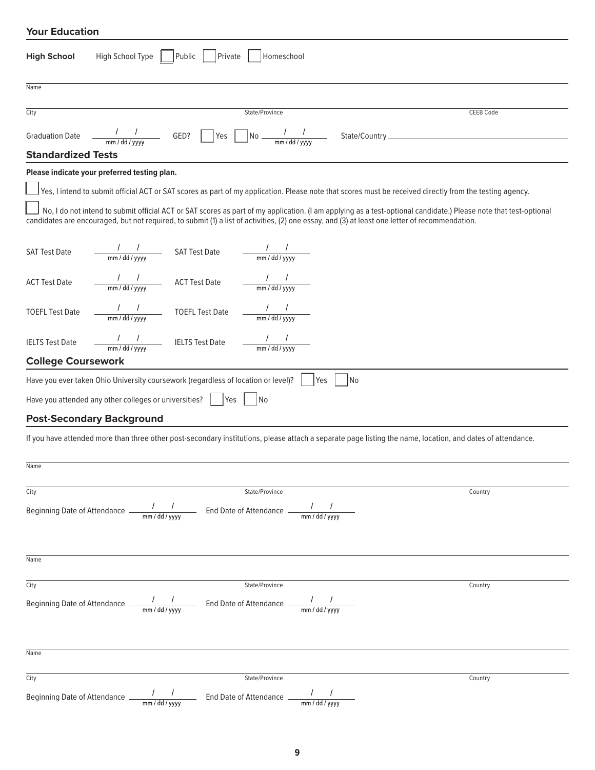#### **Your Education**

| High School Type<br>Public<br>Private<br>Homeschool<br><b>High School</b>                                                                                                                                                                                                                                                                                                                                                                                                                                                           |           |
|-------------------------------------------------------------------------------------------------------------------------------------------------------------------------------------------------------------------------------------------------------------------------------------------------------------------------------------------------------------------------------------------------------------------------------------------------------------------------------------------------------------------------------------|-----------|
| Name                                                                                                                                                                                                                                                                                                                                                                                                                                                                                                                                |           |
| City<br>State/Province                                                                                                                                                                                                                                                                                                                                                                                                                                                                                                              | CEEB Code |
| Graduation Date $\frac{1}{\text{mm}/\text{dd}/\text{yyy}}$ GED? $\text{Ves}$ No $\frac{1}{\text{mm}/\text{dd}/\text{yyy}}$ State/Country                                                                                                                                                                                                                                                                                                                                                                                            |           |
| <b>Standardized Tests</b>                                                                                                                                                                                                                                                                                                                                                                                                                                                                                                           |           |
| Please indicate your preferred testing plan.                                                                                                                                                                                                                                                                                                                                                                                                                                                                                        |           |
| $\Box$ Yes, I intend to submit official ACT or SAT scores as part of my application. Please note that scores must be received directly from the testing agency.<br>No, I do not intend to submit official ACT or SAT scores as part of my application. (I am applying as a test-optional candidate.) Please note that test-optional<br>candidates are encouraged, but not required, to submit (1) a list of activities, (2) one essay, and (3) at least one letter of recommendation.                                               |           |
| $\frac{1}{\frac{1}{2} \frac{1}{2} \frac{1}{2} \frac{1}{2} \frac{1}{2} \frac{1}{2} \frac{1}{2} \frac{1}{2} \frac{1}{2} \frac{1}{2} \frac{1}{2} \frac{1}{2} \frac{1}{2} \frac{1}{2} \frac{1}{2} \frac{1}{2} \frac{1}{2} \frac{1}{2} \frac{1}{2} \frac{1}{2} \frac{1}{2} \frac{1}{2} \frac{1}{2} \frac{1}{2} \frac{1}{2} \frac{1}{2} \frac{1}{2} \frac{1}{2} \frac{1}{2} \frac{1}{2} \frac{1}{$<br>$\frac{1}{\text{mm}/\text{dd}/\text{yyyy}}$ SAT Test Date<br><b>SAT Test Date</b>                                                   |           |
| $\frac{1}{\frac{1}{2\pi}}\frac{1}{\frac{1}{2\pi}}$<br>$\frac{1}{\frac{1}{2} \frac{1}{\frac{1}{2} \cdot \frac{1}{2} \cdot \frac{1}{2} \cdot \frac{1}{2} \cdot \frac{1}{2} \cdot \frac{1}{2} \cdot \frac{1}{2} \cdot \frac{1}{2} \cdot \frac{1}{2} \cdot \frac{1}{2} \cdot \frac{1}{2} \cdot \frac{1}{2} \cdot \frac{1}{2} \cdot \frac{1}{2} \cdot \frac{1}{2} \cdot \frac{1}{2} \cdot \frac{1}{2} \cdot \frac{1}{2} \cdot \frac{1}{2} \cdot \frac{1}{2} \cdot \frac{1}{2} \cdot \frac{1}{2} \cdot \frac{1}{$<br><b>ACT Test Date</b> |           |
| $\frac{1}{\frac{1}{2} \frac{1}{2} \frac{1}{2} \frac{1}{2} \frac{1}{2} \frac{1}{2} \frac{1}{2} \frac{1}{2} \frac{1}{2} \frac{1}{2} \frac{1}{2} \frac{1}{2} \frac{1}{2} \frac{1}{2} \frac{1}{2} \frac{1}{2} \frac{1}{2} \frac{1}{2} \frac{1}{2} \frac{1}{2} \frac{1}{2} \frac{1}{2} \frac{1}{2} \frac{1}{2} \frac{1}{2} \frac{1}{2} \frac{1}{2} \frac{1}{2} \frac{1}{2} \frac{1}{2} \frac{1}{$<br>$\frac{1}{2}$ TOEFL Test Date<br><b>TOEFL Test Date</b>                                                                             |           |
| $\frac{1}{2}$ mm / dd / yyyy<br>$\frac{1}{\frac{1}{2} \cdot \frac{1}{2} \cdot \frac{1}{2} \cdot \frac{1}{2} \cdot \frac{1}{2} \cdot \frac{1}{2} \cdot \frac{1}{2} \cdot \frac{1}{2} \cdot \frac{1}{2} \cdot \frac{1}{2} \cdot \frac{1}{2} \cdot \frac{1}{2} \cdot \frac{1}{2} \cdot \frac{1}{2} \cdot \frac{1}{2} \cdot \frac{1}{2} \cdot \frac{1}{2} \cdot \frac{1}{2} \cdot \frac{1}{2} \cdot \frac{1}{2} \cdot \frac{1}{2} \cdot \frac{1}{2} \cdot \frac{1}{2} \cdot \frac{1}{2} \$<br><b>IELTS Test Date</b>                    |           |
| <b>College Coursework</b>                                                                                                                                                                                                                                                                                                                                                                                                                                                                                                           |           |
| Have you ever taken Ohio University coursework (regardless of location or level)?<br>l No<br>Yes                                                                                                                                                                                                                                                                                                                                                                                                                                    |           |
| Have you attended any other colleges or universities?<br> N <sub>O</sub><br><b>Yes</b>                                                                                                                                                                                                                                                                                                                                                                                                                                              |           |
| <b>Post-Secondary Background</b>                                                                                                                                                                                                                                                                                                                                                                                                                                                                                                    |           |
| If you have attended more than three other post-secondary institutions, please attach a separate page listing the name, location, and dates of attendance.                                                                                                                                                                                                                                                                                                                                                                          |           |
| Name                                                                                                                                                                                                                                                                                                                                                                                                                                                                                                                                |           |
| City<br>State/Province<br>Country                                                                                                                                                                                                                                                                                                                                                                                                                                                                                                   |           |
| Beginning Date of Attendance $\frac{1}{2\pi m/dd/\gamma_{\rm VVV}}$ End Date of Attendance $\frac{1}{2\pi m/dd/\gamma_{\rm VVV}}$                                                                                                                                                                                                                                                                                                                                                                                                   |           |
| Name                                                                                                                                                                                                                                                                                                                                                                                                                                                                                                                                |           |
| City<br>State/Province<br>Country                                                                                                                                                                                                                                                                                                                                                                                                                                                                                                   |           |
| Beginning Date of Attendance $\frac{1}{2\pi m/dd/\gamma_{\rm VVV}}$ End Date of Attendance $\frac{1}{2\pi m/dd/\gamma_{\rm VVV}}$                                                                                                                                                                                                                                                                                                                                                                                                   |           |
| Name                                                                                                                                                                                                                                                                                                                                                                                                                                                                                                                                |           |
| City<br>State/Province<br>Country                                                                                                                                                                                                                                                                                                                                                                                                                                                                                                   |           |
| $\frac{1}{1-\frac{1}{2}}$ End Date of Attendance $\frac{1}{1-\frac{1}{2}}$<br>Beginning Date of Attendance                                                                                                                                                                                                                                                                                                                                                                                                                          |           |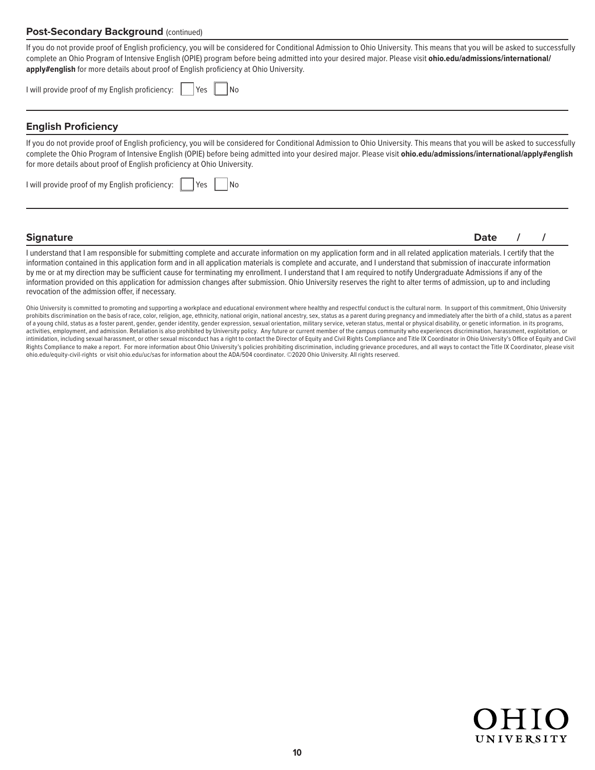#### **Post-Secondary Background (continued)**

If you do not provide proof of English proficiency, you will be considered for Conditional Admission to Ohio University. This means that you will be asked to successfully [complete an Ohio Program of Intensive English \(OPIE\) program before being admitted into your desired major. Please visit](http://ohio.edu/admissions/international/apply#english) **ohio.edu/admissions/international/ apply#english** for more details about proof of English proficiency at Ohio University.

| I will provide proof of my English proficiency: | l Yes | No |
|-------------------------------------------------|-------|----|
|                                                 |       |    |

#### **English Proficiency**

If you do not provide proof of English proficiency, you will be considered for Conditional Admission to Ohio University. This means that you will be asked to successfully complete the Ohio Program of Intensive English (OPIE) before being admitted into your desired major. Please visit **[ohio.edu/admissions/international/apply#english](http://ohio.edu/admissions/international/apply#english)** for more details about proof of English proficiency at Ohio University.

| I will provide proof of my English proficiency: | Yes | No |
|-------------------------------------------------|-----|----|
|                                                 |     |    |

**Signature Date / /**

I understand that I am responsible for submitting complete and accurate information on my application form and in all related application materials. I certify that the information contained in this application form and in all application materials is complete and accurate, and I understand that submission of inaccurate information by me or at my direction may be sufficient cause for terminating my enrollment. I understand that I am required to notify Undergraduate Admissions if any of the information provided on this application for admission changes after submission. Ohio University reserves the right to alter terms of admission, up to and including revocation of the admission offer, if necessary.

Ohio University is committed to promoting and supporting a workplace and educational environment where healthy and respectful conduct is the cultural norm. In support of this commitment, Ohio University prohibits discrimination on the basis of race, color, religion, age, ethnicity, national origin, national ancestry, sex, status as a parent during pregnancy and immediately after the birth of a child, status as a parent of a young child, status as a foster parent, gender, gender identity, gender expression, sexual orientation, military service, veteran status, mental or physical disability, or genetic information. in its programs, activities, employment, and admission. Retaliation is also prohibited by University policy. Any future or current member of the campus community who experiences discrimination, harassment, exploitation, or intimidation, including sexual harassment, or other sexual misconduct has a right to contact the Director of Equity and Civil Rights Compliance and Title IX Coordinator in Ohio University's Office of Equity and Civil Rights Compliance to make a report. For more information about Ohio University's policies prohibiting discrimination, including grievance procedures, and all ways to contact the Title IX Coordinator, please visit [ohio.edu/equity-civil-rights](http://ohio.edu/equity-civil-rights) or visit [ohio.edu/uc/sas](http://ohio.edu/uc/sas) for information about the ADA/504 coordinator. ©2020 Ohio University. All rights reserved.

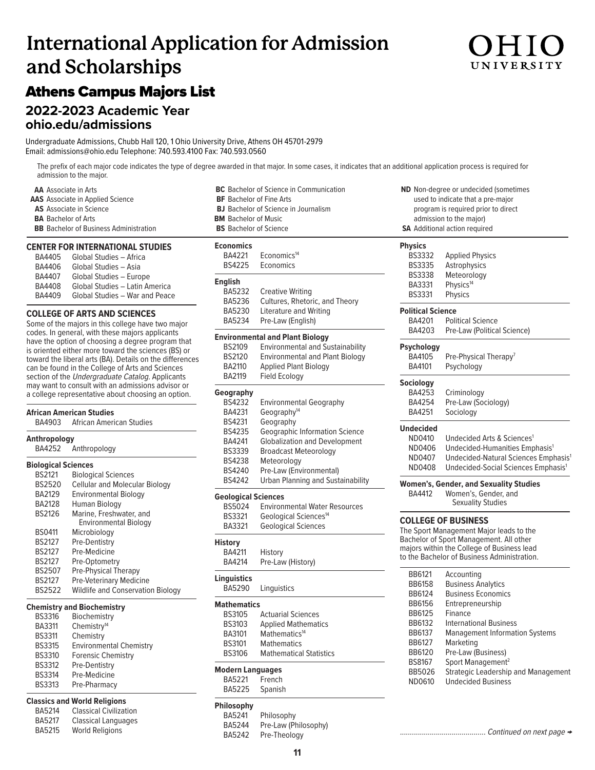# **International Application for Admission and Scholarships**

### Athens Campus Majors List

### **2022-2023 Academic Year**

**[ohio.edu/admissions](http://ohio.edu/admissions)**

Undergraduate Admissions, Chubb Hall 120, 1 Ohio University Drive, Athens OH 45701-2979 Email: [admissions@ohio.edu T](mailto:admissions@ohio.edu)elephone: 740.593.4100 Fax: 740.593.0560

The prefix of each major code indicates the type of degree awarded in that major. In some cases, it indicates that an additional application process is required for admission to the major. **BC** Bachelor of Science in Communication

**AA** Associate in Arts **AAS** Associate in Applied Science **AS** Associate in Science **BA** Bachelor of Arts **BB** Bachelor of Business Administration

#### **CENTER FOR INTERNATIONAL STUDIES**

| BA4405        | Global Studies - Africa        |
|---------------|--------------------------------|
| BA4406        | Global Studies - Asia          |
| <b>BA4407</b> | Global Studies - Europe        |
| BA4408        | Global Studies - Latin America |
| BA4409        | Global Studies - War and Peace |

#### **COLLEGE OF ARTS AND SCIENCES**

Some of the majors in this college have two major codes. In general, with these majors applicants have the option of choosing a degree program that is oriented either more toward the sciences (BS) or toward the liberal arts (BA). Details on the differences can be found in the College of Arts and Sciences section of the Undergraduate Catalog. Applicants may want to consult with an admissions advisor or a college representative about choosing an option.

#### **African American Studies**

BA4903 African American Studies

| Anthropology               |                                          |
|----------------------------|------------------------------------------|
| BA4252                     | Anthropology                             |
| <b>Biological Sciences</b> |                                          |
| <b>BS2121</b>              | <b>Biological Sciences</b>               |
| <b>BS2520</b>              | <b>Cellular and Molecular Biology</b>    |
| BA2129                     | Environmental Biology                    |
| <b>BA2128</b>              | Human Biology                            |
| <b>BS2126</b>              | Marine, Freshwater, and                  |
|                            | <b>Environmental Biology</b>             |
| <b>BS0411</b>              | Microbiology                             |
| <b>BS2127</b>              | Pre-Dentistry                            |
| <b>BS2127</b>              | Pre-Medicine                             |
| <b>BS2127</b>              | Pre-Optometry                            |
| <b>BS2507</b>              | Pre-Physical Therapy                     |
| <b>BS2127</b>              | <b>Pre-Veterinary Medicine</b>           |
| <b>BS2522</b>              | <b>Wildlife and Conservation Biology</b> |

#### **Chemistry and Biochemistry**

| <b>BS3316</b> | Biochemistry                   |
|---------------|--------------------------------|
| <b>BA3311</b> | Chemistry <sup>14</sup>        |
| <b>BS3311</b> | Chemistry                      |
| <b>BS3315</b> | <b>Environmental Chemistry</b> |
| <b>BS3310</b> | <b>Forensic Chemistry</b>      |
| <b>BS3312</b> | Pre-Dentistry                  |
| <b>BS3314</b> | Pre-Medicine                   |
| <b>BS3313</b> | Pre-Pharmacy                   |
|               |                                |

#### **Classics and World Religions**

| <b>BA5214</b> | <b>Classical Civilization</b> |
|---------------|-------------------------------|
| <b>BA5217</b> | Classical Languages           |
| <b>BA5215</b> | <b>World Religions</b>        |

| <b>BF</b> Bachelor of Fine Arts             |                                          |  |
|---------------------------------------------|------------------------------------------|--|
| <b>BJ</b> Bachelor of Science in Journalism |                                          |  |
| <b>BM</b> Bachelor of Music                 |                                          |  |
| <b>BS</b> Bachelor of Science               |                                          |  |
| Economics                                   |                                          |  |
| BA4221                                      | Economics <sup>14</sup>                  |  |
| <b>BS4225</b>                               | Economics                                |  |
|                                             |                                          |  |
| <b>English</b>                              |                                          |  |
| BA5232                                      | <b>Creative Writing</b>                  |  |
| BA5236                                      | Cultures, Rhetoric, and Theory           |  |
| BA5230                                      | Literature and Writing                   |  |
| BA5234                                      | Pre-Law (English)                        |  |
|                                             | <b>Environmental and Plant Biology</b>   |  |
| <b>BS2109</b>                               | <b>Environmental and Sustainability</b>  |  |
| <b>BS2120</b>                               | <b>Environmental and Plant Biology</b>   |  |
| BA2110                                      | <b>Applied Plant Biology</b>             |  |
| BA2119                                      | Field Ecology                            |  |
| Geography                                   |                                          |  |
| <b>BS4232</b>                               | <b>Environmental Geography</b>           |  |
| BA4231                                      | Geography <sup>14</sup>                  |  |
| BS4231                                      | Geography                                |  |
| BS4235                                      | <b>Geographic Information Science</b>    |  |
| BA4241                                      | <b>Globalization and Development</b>     |  |
| BS3339                                      | <b>Broadcast Meteorology</b>             |  |
| BS4238                                      | Meteorology                              |  |
| BS4240                                      | Pre-Law (Environmental)                  |  |
| <b>BS4242</b>                               | <b>Urban Planning and Sustainability</b> |  |
|                                             |                                          |  |
| <b>Geological Sciences</b>                  |                                          |  |
| BS5024                                      | <b>Environmental Water Resources</b>     |  |
| <b>BS3321</b>                               | Geological Sciences <sup>14</sup>        |  |
| BA3321                                      | <b>Geological Sciences</b>               |  |
| History                                     |                                          |  |
| BA4211                                      | History                                  |  |
| BA4214                                      | Pre-Law (History)                        |  |
| <b>Linguistics</b>                          |                                          |  |
| BA5290                                      | Linguistics                              |  |
|                                             |                                          |  |
| Mathematics                                 |                                          |  |
| <b>BS3105</b>                               | <b>Actuarial Sciences</b>                |  |
| <b>BS3103</b>                               | <b>Applied Mathematics</b>               |  |
| BA3101                                      | Mathematics <sup>14</sup>                |  |
| BS3101                                      | <b>Mathematics</b>                       |  |
| <b>BS3106</b>                               | <b>Mathematical Statistics</b>           |  |
| <b>Modern Languages</b>                     |                                          |  |
| BA5221                                      | French                                   |  |
| <b>BA5225</b>                               | Spanish                                  |  |
| Philosophy                                  |                                          |  |

| <b>ND</b> Non-degree or undecided (sometimes |
|----------------------------------------------|
| used to indicate that a pre-major            |
| program is required prior to direct          |
| admission to the major)                      |
| <b>SA</b> Additional action required         |

| BS4232             | <b>Environmental Geography</b>        |  |
|--------------------|---------------------------------------|--|
| BA4231             | Geography <sup>14</sup>               |  |
| BS4231             | Geography                             |  |
| <b>BS4235</b>      | <b>Geographic Information Science</b> |  |
| BA4241             | <b>Globalization and Development</b>  |  |
| <b>BS3339</b>      | <b>Broadcast Meteorology</b>          |  |
| <b>BS4238</b>      | Meteorology                           |  |
| <b>BS4240</b>      | Pre-Law (Environmental)               |  |
| <b>BS4242</b>      | Urban Planning and Sustainability     |  |
| ological Sciences› |                                       |  |
| <b>BS5024</b>      | <b>Environmental Water Resources</b>  |  |
| <b>BS3321</b>      | Geological Sciences <sup>14</sup>     |  |
|                    |                                       |  |

#### **Philosophy**

| BA5241 | Philosophy           |
|--------|----------------------|
| BA5244 | Pre-Law (Philosophy) |
| BA5242 | Pre-Theology         |

| <b>Physics</b>           |                                                  |
|--------------------------|--------------------------------------------------|
| <b>BS3332</b>            | <b>Applied Physics</b>                           |
| <b>BS3335</b>            | Astrophysics                                     |
| <b>BS3338</b>            | Meteorology                                      |
| BA3331                   | Physics <sup>14</sup>                            |
| <b>BS3331</b>            | <b>Physics</b>                                   |
| <b>Political Science</b> |                                                  |
| BA4201                   | <b>Political Science</b>                         |
| BA4203                   | Pre-Law (Political Science)                      |
| <b>Psychology</b>        |                                                  |
| BA4105                   | Pre-Physical Therapy <sup>7</sup>                |
| BA4101                   | Psychology                                       |
| <b>Sociology</b>         |                                                  |
| BA4253                   | Criminology                                      |
| BA4254                   | Pre-Law (Sociology)                              |
| BA4251                   | Sociology                                        |
| <b>Undecided</b>         |                                                  |
| ND0410                   | Undecided Arts & Sciences <sup>1</sup>           |
| ND0406                   | Undecided-Humanities Emphasis <sup>1</sup>       |
| ND0407                   | Undecided-Natural Sciences Emphasis <sup>1</sup> |
| ND0408                   | Undecided-Social Sciences Emphasis <sup>1</sup>  |
|                          | <b>Women's, Gender, and Sexuality Studies</b>    |
| BA4412                   | Women's, Gender, and<br><b>Sexuality Studies</b> |
|                          | <b>COLLEGE OF BUSINESS</b>                       |

The Sport Management Major leads to the Bachelor of Sport Management. All other majors within the College of Business lead to the Bachelor of Business Administration.

| BB6121        | Accounting                            |
|---------------|---------------------------------------|
| <b>BB6158</b> | <b>Business Analytics</b>             |
| BB6124        | <b>Business Economics</b>             |
| BB6156        | Entrepreneurship                      |
| BB6125        | Finance                               |
| BB6132        | <b>International Business</b>         |
| BB6137        | <b>Management Information Systems</b> |
| BB6127        | Marketing                             |
| BB6120        | Pre-Law (Business)                    |
| BS8167        | Sport Management <sup>2</sup>         |
| BB5026        | Strategic Leadership and Management   |
| ND0610        | Undecided Business                    |
|               |                                       |

........................................... Continued on next page →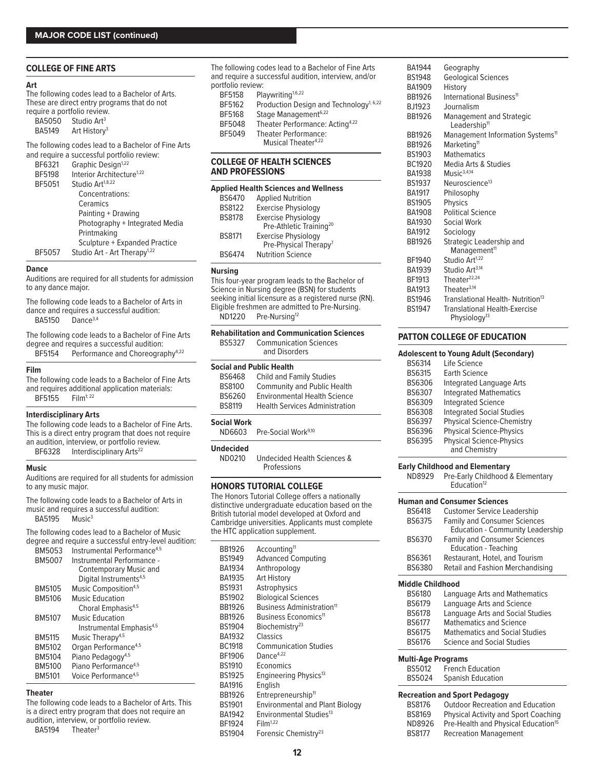#### **COLLEGE OF FINE ARTS**

#### **Art**

The following codes lead to a Bachelor of Arts. These are direct entry programs that do not require a portfolio review.

| <b>BA5050</b> | Studio Art <sup>3</sup>  |
|---------------|--------------------------|
| <b>BA5149</b> | Art History <sup>3</sup> |

The following codes lead to a Bachelor of Fine Arts

| and require a successful portfolio review: |
|--------------------------------------------|
| Graphic Design <sup>1,22</sup>             |
| Interior Architecture <sup>1,22</sup>      |
| Studio Art <sup>1,8,22</sup>               |
| Concentrations:                            |
| Ceramics                                   |
| Painting + Drawing                         |
| Photography + Integrated Media             |
| Printmaking                                |
| Sculpture + Expanded Practice              |
| Studio Art - Art Therapy <sup>1,22</sup>   |
|                                            |

#### **Dance**

Auditions are required for all students for admission to any dance major.

The following code leads to a Bachelor of Arts in dance and requires a successful audition: BA5150 Danc[e3,4](#page-12-0)

The following code leads to a Bachelor of Fine Arts degree and requires a successful audition:

BF5154 Performance and Choreography<sup>[4,22](#page-12-0)</sup>

#### **Film**

The following code leads to a Bachelor of Fine Arts and requires additional application materials: BF5155 Film1; [22](#page-12-0)

#### **Interdisciplinary Arts**

The following code leads to a Bachelor of Fine Arts. This is a direct entry program that does not require an audition, interview, or portfolio review. BF6328 Interdisciplinary Arts<sup>[22](#page-12-0)</sup>

#### **Music**

Auditions are required for all students for admission to any music major.

The following code leads to a Bachelor of Arts in music and requires a successful audition:<br>BA5195 Music<sup>3</sup> **BA5195** 

The following codes lead to a Bachelor of Music degree and require a successful entry-level audition:

| <b>BM5053</b> | Instrumental Performance <sup>4,5</sup> |
|---------------|-----------------------------------------|
| <b>BM5007</b> | Instrumental Performance -              |
|               | <b>Contemporary Music and</b>           |
|               | Digital Instruments <sup>4,5</sup>      |
| BM5105        | Music Composition <sup>4,5</sup>        |
| <b>BM5106</b> | <b>Music Education</b>                  |
|               | Choral Emphasis <sup>4,5</sup>          |
| <b>BM5107</b> | Music Education                         |
|               | Instrumental Emphasis <sup>4,5</sup>    |
| <b>BM5115</b> | Music Therapy <sup>4,5</sup>            |
| BM5102        | Organ Performance <sup>4,5</sup>        |
| BM5104        | Piano Pedagogy <sup>4,5</sup>           |
| BM5100        | Piano Performance <sup>4,5</sup>        |
| <b>BM5101</b> | Voice Performance <sup>4,5</sup>        |
|               |                                         |

#### **Theater**

The following code leads to a Bachelor of Arts. This is a direct entry program that does not require an audition, interview, or portfolio review.

BA5194 Theater<sup>[3](#page-12-0)</sup>

The following codes lead to a Bachelor of Fine Arts and require a successful audition, interview, and/or portfolio review:<br>BF5158 Pla Playwriting<sup>1,6,22</sup> BF5162 Production Design and Technology<sup>1, [6,22](#page-12-0)</sup> BF5168 Stage Management<sup>6,22</sup><br>BF5048 Theater Performance: Theater Performance: Acting<sup>4,22</sup> BF5049 Theater Performance: Musical Theater<sup>[4,22](#page-12-0)</sup>

#### **COLLEGE OF HEALTH SCIENCES AND PROFESSIONS**

| <b>Applied Health Sciences and Wellness</b> |                                     |  |
|---------------------------------------------|-------------------------------------|--|
| <b>BS6470</b>                               | <b>Applied Nutrition</b>            |  |
| <b>BS8122</b>                               | <b>Exercise Physiology</b>          |  |
| <b>BS8178</b>                               | <b>Exercise Physiology</b>          |  |
|                                             | Pre-Athletic Training <sup>20</sup> |  |
| <b>BS8171</b>                               | <b>Exercise Physiology</b>          |  |
|                                             | Pre-Physical Therapy <sup>7</sup>   |  |
| <b>RS6474</b>                               | <b>Nutrition Science</b>            |  |

#### **Nursing**

This four-year program leads to the Bachelor of Science in Nursing degree (BSN) for students seeking initial licensure as a registered nurse (RN). Eligible freshmen are admitted to Pre-Nursing.<br>ND1220 Pre-Nursing<sup>12</sup> Pre-Nursing<sup>[12](#page-12-0)</sup>

| <b>Rehabilitation and Communication Sciences</b> |                               |  |
|--------------------------------------------------|-------------------------------|--|
| BS5327                                           | <b>Communication Sciences</b> |  |
|                                                  | and Disorders                 |  |

#### **Social and Public Health**

| <b>Child and Family Studies</b>       |
|---------------------------------------|
| <b>Community and Public Health</b>    |
| <b>Environmental Health Science</b>   |
| <b>Health Services Administration</b> |
|                                       |

### **Social Work**

Pre-Social Work<sup>[9,10](#page-12-0)</sup>

#### **Undecided**

ND0210 Undecided Health Sciences & Professions

#### **HONORS TUTORIAL COLLEGE**

The Honors Tutorial College offers a nationally distinctive undergraduate education based on the British tutorial model developed at Oxford and Cambridge universities. Applicants must complete the HTC application supplement.

| BB1926<br>BS1949<br><b>BA1934</b><br><b>BA1935</b><br><b>BS1931</b><br><b>BS1902</b><br>BB1926 | Accounting <sup>11</sup><br><b>Advanced Computing</b><br>Anthropology<br><b>Art History</b><br>Astrophysics<br><b>Biological Sciences</b><br>Business Administration <sup>11</sup> |
|------------------------------------------------------------------------------------------------|------------------------------------------------------------------------------------------------------------------------------------------------------------------------------------|
| BB1926                                                                                         | Business Economics <sup>11</sup>                                                                                                                                                   |
| <b>BS1904</b>                                                                                  | Biochemistry <sup>23</sup>                                                                                                                                                         |
| BA1932                                                                                         | Classics                                                                                                                                                                           |
| <b>BC1918</b>                                                                                  | <b>Communication Studies</b>                                                                                                                                                       |
| BF1906                                                                                         | Dance $4,22$                                                                                                                                                                       |
| <b>BS1910</b>                                                                                  | Economics                                                                                                                                                                          |
| BS1925                                                                                         | Engineering Physics <sup>13</sup>                                                                                                                                                  |
| BA1916                                                                                         | English                                                                                                                                                                            |
| BB1926                                                                                         | Entrepreneurship <sup>11</sup>                                                                                                                                                     |
| <b>BS1901</b>                                                                                  | <b>Environmental and Plant Biology</b>                                                                                                                                             |
| <b>BA1942</b>                                                                                  | Environmental Studies <sup>13</sup>                                                                                                                                                |
| BF1924                                                                                         | Film <sup>1,22</sup>                                                                                                                                                               |
| BS1904                                                                                         | Forensic Chemistry <sup>23</sup>                                                                                                                                                   |

| BA1944        | Geography                                                   |
|---------------|-------------------------------------------------------------|
| <b>BS1948</b> | <b>Geological Sciences</b>                                  |
| BA1909        | History                                                     |
| BB1926        | International Business <sup>11</sup>                        |
| BJ1923        | Journalism                                                  |
| BB1926        | <b>Management and Strategic</b><br>Leadership <sup>11</sup> |
| BB1926        | Management Information Systems <sup>11</sup>                |
| BB1926        | Marketing <sup>11</sup>                                     |
| BS1903        | <b>Mathematics</b>                                          |
| BC1920        | Media Arts & Studies                                        |
| BA1938        | $M$ usic <sup>3,4,14</sup>                                  |
| BS1937        | Neuroscience <sup>13</sup>                                  |
| <b>BA1917</b> | Philosophy                                                  |
| BS1905        | <b>Physics</b>                                              |
| BA1908        | <b>Political Science</b>                                    |
| BA1930        | Social Work                                                 |
| <b>BA1912</b> | Sociology                                                   |
| BB1926        | Strategic Leadership and<br>Management <sup>11</sup>        |
| BF1940        | Studio Art <sup>1,22</sup>                                  |
| BA1939        | Studio Art <sup>3,14</sup>                                  |
| BF1913        | Theater $22,24$                                             |
| BA1913        | Theater $3,14$                                              |
| BS1946        | Translational Health-Nutrition <sup>13</sup>                |
| <b>BS1947</b> | Translational Health-Exercise<br>Physiology <sup>13</sup>   |
|               |                                                             |

#### **PATTON COLLEGE OF EDUCATION**

#### **Adolescent to Young Adult (Secondary)**

| <b>BS6314</b> | Life Science                      |
|---------------|-----------------------------------|
| <b>BS6315</b> | <b>Farth Science</b>              |
| BS6306        | <b>Integrated Language Arts</b>   |
| BS6307        | <b>Integrated Mathematics</b>     |
| <b>BS6309</b> | <b>Integrated Science</b>         |
| <b>BS6308</b> | <b>Integrated Social Studies</b>  |
| <b>BS6397</b> | <b>Physical Science-Chemistry</b> |
| BS6396        | <b>Physical Science-Physics</b>   |
| <b>BS6395</b> | <b>Physical Science-Physics</b>   |
|               | and Chemistry                     |

#### **Early Childhood and Elementary**

ND8929 Pre-Early Childhood & Elementary Education<sup>[12](#page-12-0)</sup>

|                           | <b>Human and Consumer Sciences</b>                                             |
|---------------------------|--------------------------------------------------------------------------------|
| <b>BS6418</b>             | <b>Customer Service Leadership</b>                                             |
| BS6375                    | <b>Family and Consumer Sciences</b><br><b>Education - Community Leadership</b> |
| <b>BS6370</b>             | <b>Family and Consumer Sciences</b><br><b>Education - Teaching</b>             |
| BS6361                    | Restaurant, Hotel, and Tourism                                                 |
| BS6380                    | Retail and Fashion Merchandising                                               |
| <b>Middle Childhood</b>   |                                                                                |
| BS6180                    | Language Arts and Mathematics                                                  |
| BS6179                    | Language Arts and Science                                                      |
| <b>BS6178</b>             | Language Arts and Social Studies                                               |
| <b>BS6177</b>             | <b>Mathematics and Science</b>                                                 |
| <b>BS6175</b>             | <b>Mathematics and Social Studies</b>                                          |
| <b>BS6176</b>             | Science and Social Studies                                                     |
| <b>Multi-Age Programs</b> |                                                                                |
| BS5012                    | <b>French Education</b>                                                        |
| <b>BS5024</b>             | <b>Spanish Education</b>                                                       |
|                           | <b>Recreation and Sport Pedagogy</b>                                           |
| <b>BS8176</b>             | <b>Outdoor Recreation and Education</b>                                        |
| BS8169                    | <b>Physical Activity and Sport Coaching</b>                                    |

ND8926 Pre-Health and Physical Education<sup>15</sup>

BS8177 Recreation Management